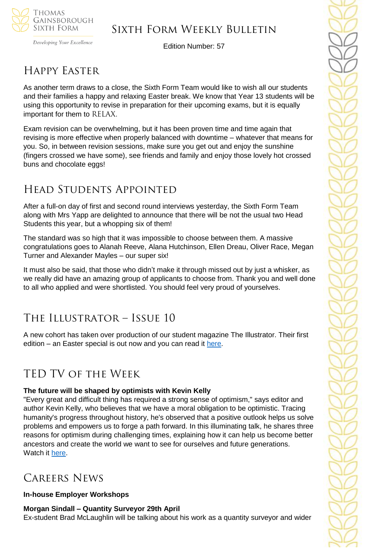

Developing Your Excellence

Edition Number: 57

# Happy Easter

As another term draws to a close, the Sixth Form Team would like to wish all our students and their families a happy and relaxing Easter break. We know that Year 13 students will be using this opportunity to revise in preparation for their upcoming exams, but it is equally important for them to RELAX.

Exam revision can be overwhelming, but it has been proven time and time again that revising is more effective when properly balanced with downtime – whatever that means for you. So, in between revision sessions, make sure you get out and enjoy the sunshine (fingers crossed we have some), see friends and family and enjoy those lovely hot crossed buns and chocolate eggs!

# Head Students Appointed

After a full-on day of first and second round interviews yesterday, the Sixth Form Team along with Mrs Yapp are delighted to announce that there will be not the usual two Head Students this year, but a whopping six of them!

The standard was so high that it was impossible to choose between them. A massive congratulations goes to Alanah Reeve, Alana Hutchinson, Ellen Dreau, Oliver Race, Megan Turner and Alexander Mayles – our super six!

It must also be said, that those who didn't make it through missed out by just a whisker, as we really did have an amazing group of applicants to choose from. Thank you and well done to all who applied and were shortlisted. You should feel very proud of yourselves.

# The Illustrator – Issue 10

A new cohort has taken over production of our student magazine The Illustrator. Their first edition – an Easter special is out now and you can read it [here.](https://tgschool.net/news/the-illustrator-issue-10)

# TED TV of the Week

## **The future will be shaped by optimists with Kevin Kelly**

"Every great and difficult thing has required a strong sense of optimism," says editor and author Kevin Kelly, who believes that we have a moral obligation to be optimistic. Tracing humanity's progress throughout history, he's observed that a positive outlook helps us solve problems and empowers us to forge a path forward. In this illuminating talk, he shares three reasons for optimism during challenging times, explaining how it can help us become better ancestors and create the world we want to see for ourselves and future generations. Watch it [here.](https://www.ted.com/talks/kevin_kelly_the_future_will_be_shaped_by_optimists)

# Careers News

## **In-house Employer Workshops**

## **Morgan Sindall – Quantity Surveyor 29th April**

Ex-student Brad McLaughlin will be talking about his work as a quantity surveyor and wider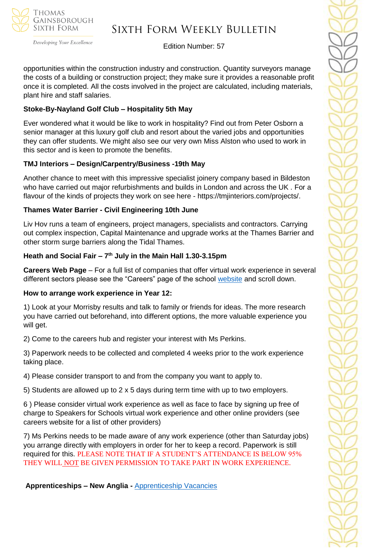

# Sixth Form Weekly Bulletin

Edition Number: 57

opportunities within the construction industry and construction. Quantity surveyors manage the costs of a building or construction project; they make sure it provides a reasonable profit once it is completed. All the costs involved in the project are calculated, including materials, plant hire and staff salaries.

## **Stoke-By-Nayland Golf Club – Hospitality 5th May**

Ever wondered what it would be like to work in hospitality? Find out from Peter Osborn a senior manager at this luxury golf club and resort about the varied jobs and opportunities they can offer students. We might also see our very own Miss Alston who used to work in this sector and is keen to promote the benefits.

## **TMJ Interiors – Design/Carpentry/Business -19th May**

Another chance to meet with this impressive specialist joinery company based in Bildeston who have carried out major refurbishments and builds in London and across the UK . For a flavour of the kinds of projects they work on see here - https://tmjinteriors.com/projects/.

## **Thames Water Barrier - Civil Engineering 10th June**

Liv Hov runs a team of engineers, project managers, specialists and contractors. Carrying out complex inspection, Capital Maintenance and upgrade works at the Thames Barrier and other storm surge barriers along the Tidal Thames.

## **Heath and Social Fair – 7 th July in the Main Hall 1.30-3.15pm**

**Careers Web Page** – For a full list of companies that offer virtual work experience in several different sectors please see the "Careers" page of the school [website](https://tgschool.net/careers) and scroll down.

## **How to arrange work experience in Year 12:**

1) Look at your Morrisby results and talk to family or friends for ideas. The more research you have carried out beforehand, into different options, the more valuable experience you will get.

2) Come to the careers hub and register your interest with Ms Perkins.

3) Paperwork needs to be collected and completed 4 weeks prior to the work experience taking place.

4) Please consider transport to and from the company you want to apply to.

5) Students are allowed up to 2 x 5 days during term time with up to two employers.

6 ) Please consider virtual work experience as well as face to face by signing up free of charge to Speakers for Schools virtual work experience and other online providers (see careers website for a list of other providers)

7) Ms Perkins needs to be made aware of any work experience (other than Saturday jobs) you arrange directly with employers in order for her to keep a record. Paperwork is still required for this. PLEASE NOTE THAT IF A STUDENT'S ATTENDANCE IS BELOW 95% THEY WILL NOT BE GIVEN PERMISSION TO TAKE PART IN WORK EXPERIENCE.

**Apprenticeships – New Anglia -** [Apprenticeship Vacancies](https://v2.apprenticeshipsnewanglia.co.uk/apprenticeships/search/?s_query=&s_location=&s_distance=30&s_trade=0&s_apprenticeshipLevel=0&prop_View=list&prop_sort=created+desc)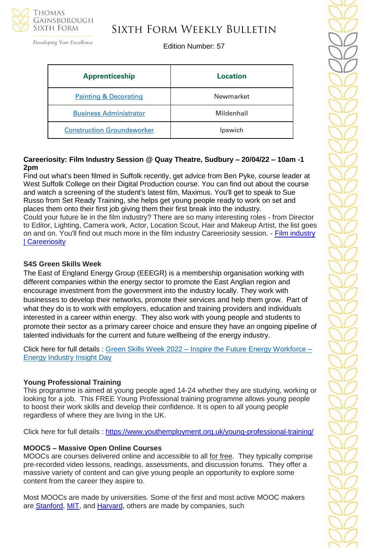

Developing Your Excellence

Edition Number: 57

| <b>Apprenticeship</b>             | Location   |
|-----------------------------------|------------|
| <b>Painting &amp; Decorating</b>  | Newmarket  |
| <b>Business Administrator</b>     | Mildenhall |
| <b>Construction Groundsworker</b> | Ipswich    |

## **Careeriosity: Film Industry Session @ Quay Theatre, Sudbury – 20/04/22 – 10am -1 2pm**

Find out what's been filmed in Suffolk recently, get advice from Ben Pyke, course leader at West Suffolk College on their Digital Production course. You can find out about the course and watch a screening of the student's latest film, Maximus. You'll get to speak to Sue Russo from Set Ready Training, she helps get young people ready to work on set and places them onto their first job giving them their first break into the industry.

Could your future lie in the film industry? There are so many interesting roles - from Director to Editor, Lighting, Camera work, Actor, Location Scout, Hair and Makeup Artist, the list goes on and on. You'll find out much more in the film industry Careeriosity session. - Film [industry](https://www.careeriosity.co.uk/film-industry) | [Careeriosity](https://www.careeriosity.co.uk/film-industry)

## **S4S Green Skills Week**

The East of England Energy Group (EEEGR) is a membership organisation working with different companies within the energy sector to promote the East Anglian region and encourage investment from the government into the industry locally. They work with businesses to develop their networks, promote their services and help them grow. Part of what they do is to work with employers, education and training providers and individuals interested in a career within energy. They also work with young people and students to promote their sector as a primary career choice and ensure they have an ongoing pipeline of talented individuals for the current and future wellbeing of the energy industry.

Click here for full details : Green Skills Week 2022 – Inspire the Future Energy [Workforce](https://www.speakersforschools.org/youth_opportunities/green-skills-week-2022-inspire-the-future-energy-workforce-energy-industry-insight-day/) – Energy [Industry](https://www.speakersforschools.org/youth_opportunities/green-skills-week-2022-inspire-the-future-energy-workforce-energy-industry-insight-day/) Insight Day

## **Young Professional Training**

This programme is aimed at young people aged 14-24 whether they are studying, working or looking for a job. This FREE Young Professional training programme allows young people to boost their work skills and develop their confidence. It is open to all young people regardless of where they are living in the UK.

Click here for full details : <https://www.youthemployment.org.uk/young-professional-training/>

### **MOOCS – Massive Open Online Courses**

MOOCs are courses delivered online and accessible to all for free. They typically comprise pre-recorded video lessons, readings, assessments, and discussion forums. They offer a massive variety of content and can give young people an opportunity to explore some content from the career they aspire to.

Most MOOCs are made by universities. Some of the first and most active MOOC makers are [Stanford,](https://www.classcentral.com/university/stanford) [MIT,](https://www.classcentral.com/university/mit) and [Harvard,](https://www.classcentral.com/university/harvard) others are made by companies, such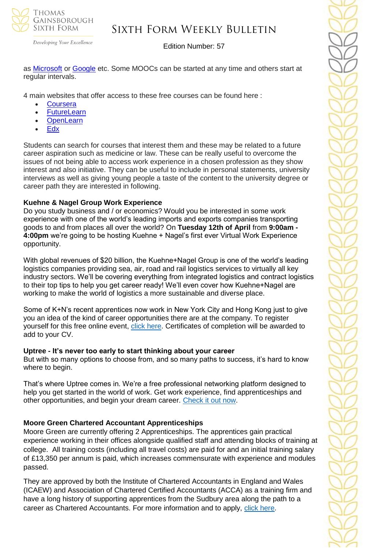

## Sixth Form Weekly Bulletin

Edition Number: 57

as [Microsoft](https://www.classcentral.com/institution/microsoft) or [Google](https://www.classcentral.com/institution/google) etc. Some MOOCs can be started at any time and others start at regular intervals.

4 main websites that offer access to these free courses can be found here :

- **[Coursera](https://www.coursera.org/)**
- [FutureLearn](https://www.futurelearn.com/)
- [OpenLearn](https://www.open.edu/openlearn/free-courses/full-catalogue)
- [Edx](https://www.edx.org/)

Students can search for courses that interest them and these may be related to a future career aspiration such as medicine or law. These can be really useful to overcome the issues of not being able to access work experience in a chosen profession as they show interest and also initiative. They can be useful to include in personal statements, university interviews as well as giving young people a taste of the content to the university degree or career path they are interested in following.

### **Kuehne & Nagel Group Work Experience**

Do you study business and / or economics? Would you be interested in some work experience with one of the world's leading imports and exports companies transporting goods to and from places all over the world? On **Tuesday 12th of April** from **9:00am - 4:00pm** we're going to be hosting Kuehne + Nagel's first ever Virtual Work Experience opportunity.

With global revenues of \$20 billion, the Kuehne+Nagel Group is one of the world's leading logistics companies providing sea, air, road and rail logistics services to virtually all key industry sectors. We'll be covering everything from integrated logistics and contract logistics to their top tips to help you get career ready! We'll even cover how Kuehne+Nagel are working to make the world of logistics a more sustainable and diverse place.

Some of K+N's recent apprentices now work in New York City and Hong Kong just to give you an idea of the kind of career opportunities there are at the company. To register yourself for this free online event, [click here.](https://www.surveymonkey.co.uk/r/Kuehne-Nagel-WEX) Certificates of completion will be awarded to add to your CV.

### **Uptree - It's never too early to start thinking about your career**

But with so many options to choose from, and so many paths to success, it's hard to know where to begin.

That's where Uptree comes in. We're a free professional networking platform designed to help you get started in the world of work. Get work experience, find apprenticeships and other opportunities, and begin your dream career. [Check it out now.](https://uptree.co/students/)

## **Moore Green Chartered Accountant Apprenticeships**

Moore Green are currently offering 2 Apprenticeships. The apprentices gain practical experience working in their offices alongside qualified staff and attending blocks of training at college. All training costs (including all travel costs) are paid for and an initial training salary of £13,350 per annum is paid, which increases commensurate with experience and modules passed.

They are approved by both the Institute of Chartered Accountants in England and Wales (ICAEW) and Association of Chartered Certified Accountants (ACCA) as a training firm and have a long history of supporting apprentices from the Sudbury area along the path to a career as Chartered Accountants. For more information and to apply, [click here.](https://www.mooregreen.co.uk/vacancies/accountancy-apprenticeship)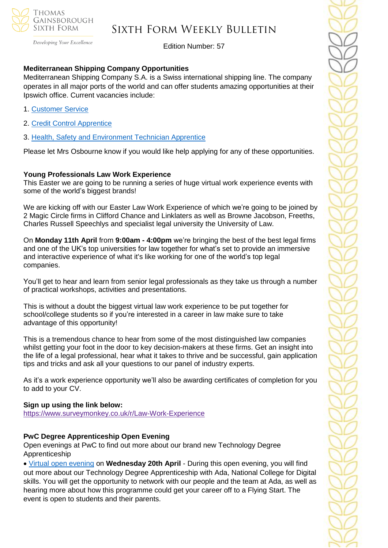

## Sixth Form Weekly Bulletin

Edition Number: 57

### **Mediterranean Shipping Company Opportunities**

Mediterranean Shipping Company S.A. is a Swiss international shipping line. The company operates in all major ports of the world and can offer students amazing opportunities at their Ipswich office. Current vacancies include:

- 1. [Customer Service](https://www.findapprenticeship.service.gov.uk/apprenticeship/-711030)
- 2. [Credit Control Apprentice](https://www.findapprenticeship.service.gov.uk/apprenticeship/-728443)
- 3. [Health, Safety and Environment Technician Apprentice](https://mscuk.current-vacancies.com/Jobs/Advert/2606357?cid=1798&s=False&t=Health--Safety-and-Environment-Technician-Apprentice&l=Ipswich)

Please let Mrs Osbourne know if you would like help applying for any of these opportunities.

### **Young Professionals Law Work Experience**

This Easter we are going to be running a series of huge virtual work experience events with some of the world's biggest brands!

We are kicking off with our Easter Law Work Experience of which we're going to be joined by 2 Magic Circle firms in Clifford Chance and Linklaters as well as Browne Jacobson, Freeths, Charles Russell Speechlys and specialist legal university the University of Law.

On **Monday 11th April** from **9:00am - 4:00pm** we're bringing the best of the best legal firms and one of the UK's top universities for law together for what's set to provide an immersive and interactive experience of what it's like working for one of the world's top legal companies.

You'll get to hear and learn from senior legal professionals as they take us through a number of practical workshops, activities and presentations.

This is without a doubt the biggest virtual law work experience to be put together for school/college students so if you're interested in a career in law make sure to take advantage of this opportunity!

This is a tremendous chance to hear from some of the most distinguished law companies whilst getting your foot in the door to key decision-makers at these firms. Get an insight into the life of a legal professional, hear what it takes to thrive and be successful, gain application tips and tricks and ask all your questions to our panel of industry experts.

As it's a work experience opportunity we'll also be awarding certificates of completion for you to add to your CV.

### **Sign up using the link below:**

<https://www.surveymonkey.co.uk/r/Law-Work-Experience>

### **PwC Degree Apprenticeship Open Evening**

Open evenings at PwC to find out more about our brand new Technology Degree Apprenticeship

• [Virtual open evening](https://successatschool.org/jobandcoursedetail/763/PwC-Ada-Virtual-Open-Evening?goal=0_65c6d67e71-8a39a8067c-212136547&mc_cid=8a39a8067c&mc_eid=530f418f3c) on **Wednesday 20th April** - During this open evening, you will find out more about our Technology Degree Apprenticeship with Ada, National College for Digital skills. You will get the opportunity to network with our people and the team at Ada, as well as hearing more about how this programme could get your career off to a Flying Start. The event is open to students and their parents.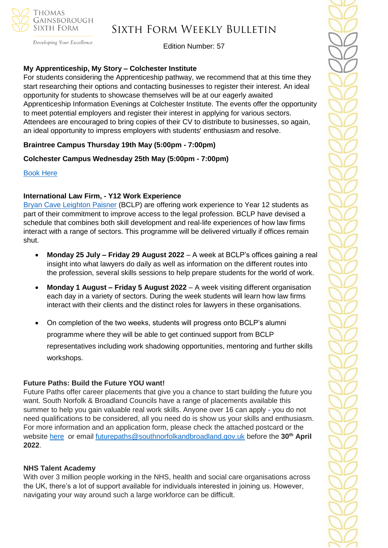

Developing Your Excellence

### Edition Number: 57

### **My Apprenticeship, My Story – Colchester Institute**

For students considering the Apprenticeship pathway, we recommend that at this time they start researching their options and contacting businesses to register their interest. An ideal opportunity for students to showcase themselves will be at our eagerly awaited Apprenticeship Information Evenings at Colchester Institute. The events offer the opportunity to meet potential employers and register their interest in applying for various sectors. Attendees are encouraged to bring copies of their CV to distribute to businesses, so again, an ideal opportunity to impress employers with students' enthusiasm and resolve.

#### **Braintree Campus Thursday 19th May (5:00pm - 7:00pm)**

#### **Colchester Campus Wednesday 25th May (5:00pm - 7:00pm)**

[Book Here](https://www.colchester.ac.uk/events/?f24_pid=db01a9d4-1973-4328-8f22-9e8504b0ca3f&utm_campaign=2022%2003%2030%20-%20Schools%20Update%20-%2092&utm_source=force24&utm_medium=email&utm_content=textlink)

#### **International Law Firm, - Y12 Work Experience**

[Bryan Cave Leighton Paisner](https://nam12.safelinks.protection.outlook.com/?url=https%3A%2F%2Fmykindacrowd.us6.list-manage.com%2Ftrack%2Fclick%3Fu%3Ded0d3c8306048bd1aa89fb8aa%26id%3Dd4b5888e23%26e%3D6a71ef3d64&data=04%7C01%7C%7Ca42d6fcdb3294051de3a08da0035846a%7C84df9e7fe9f640afb435aaaaaaaaaaaa%7C1%7C0%7C637822527094728893%7CUnknown%7CTWFpbGZsb3d8eyJWIjoiMC4wLjAwMDAiLCJQIjoiV2luMzIiLCJBTiI6Ik1haWwiLCJXVCI6Mn0%3D%7C3000&sdata=ZDGSKFlvIYYjNkmN9S6ZheP1SMAkGXRalT2hYqJWzmM%3D&reserved=0) (BCLP) are offering work experience to Year 12 students as part of their commitment to improve access to the legal profession. BCLP have devised a schedule that combines both skill development and real-life experiences of how law firms interact with a range of sectors. This programme will be delivered virtually if offices remain shut.

- **Monday 25 July – Friday 29 August 2022**  A week at BCLP's offices gaining a real insight into what lawyers do daily as well as information on the different routes into the profession, several skills sessions to help prepare students for the world of work.
- **Monday 1 August – Friday 5 August 2022** A week visiting different organisation each day in a variety of sectors. During the week students will learn how law firms interact with their clients and the distinct roles for lawyers in these organisations.
- On completion of the two weeks, students will progress onto BCLP's alumni programme where they will be able to get continued support from BCLP representatives including work shadowing opportunities, mentoring and further skills workshops.

#### **Future Paths: Build the Future YOU want!**

Future Paths offer career placements that give you a chance to start building the future you want. South Norfolk & Broadland Councils have a range of placements available this summer to help you gain valuable real work skills. Anyone over 16 can apply - you do not need qualifications to be considered, all you need do is show us your skills and enthusiasm. For more information and an application form, please check the attached postcard or the website [here](https://www.southnorfolkandbroadland.gov.uk/futurepaths) or email [futurepaths@southnorfolkandbroadland.gov.uk](mailto:futurepaths@southnorfolkandbroadland.gov.uk) before the **30th April 2022**.

#### **NHS Talent Academy**

With over 3 million people working in the NHS, health and social care organisations across the UK, there's a lot of support available for individuals interested in joining us. However, navigating your way around such a large workforce can be difficult.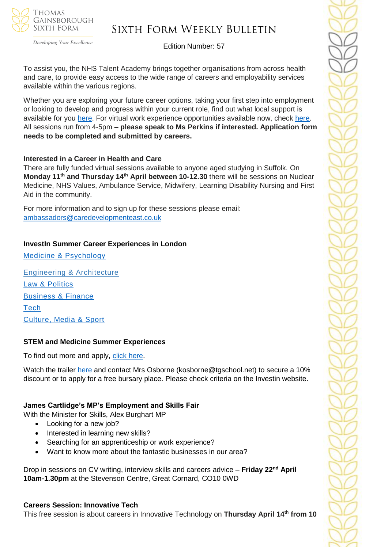

## Sixth Form Weekly Bulletin

Edition Number: 57

To assist you, the NHS Talent Academy brings together organisations from across health and care, to provide easy access to the wide range of careers and employability services available within the various regions.

Whether you are exploring your future career options, taking your first step into employment or looking to develop and progress within your current role, find out what local support is available for you [here.](https://nhstalentacademy.org.uk/) For virtual work experience opportunities available now, check [here.](https://nhstalentacademy.org.uk/?s=Let%27s+Talk+About) All sessions run from 4-5pm **– please speak to Ms Perkins if interested. Application form needs to be completed and submitted by careers.**

#### **Interested in a Career in Health and Care**

There are fully funded virtual sessions available to anyone aged studying in Suffolk. On **Monday 11th and Thursday 14th April between 10-12.30** there will be sessions on Nuclear Medicine, NHS Values, Ambulance Service, Midwifery, Learning Disability Nursing and First Aid in the community.

For more information and to sign up for these sessions please email: [ambassadors@caredevelopmenteast.co.uk](mailto:ambassadors@caredevelopmenteast.co.uk)

### **InvestIn Summer Career Experiences in London**

[Medicine & Psychology](https://investin.org/pages/choose-your-medicine-summer-experience)

[Engineering & Architecture](https://investin.org/pages/choose-your-engineering-architecture-summer-experience) [Law & Politics](https://investin.org/pages/choose-your-law-politics-summer-experience) [Business & Finance](https://investin.org/pages/choose-your-business-finance-summer-experience) [Tech](https://investin.org/pages/choose-your-tech-summer-experience) [Culture, Media & Sport](https://investin.org/pages/choose-your-culture-media-sport-summer-experience)

### **STEM and Medicine Summer Experiences**

To find out more and apply, [click here.](https://investin.org/pages/choose-your-stem-summer-experience?utm_source=UK+SCHOOLS+MASTER&utm_campaign=a31ab330e2-bankersschoolmar_COPY_01&utm_medium=email&utm_term=0_bfccb03bbd-a31ab330e2-137697031&mc_cid=a31ab330e2&mc_eid=894e4199ae)

Watch the trailer [here](https://investin.org/blogs/news/summer-experiences-2022?utm_source=UK+SCHOOLS+MASTER&utm_campaign=b369a1e6b8-bankersschoolmar_COPY_01&utm_medium=email&utm_term=0_bfccb03bbd-b369a1e6b8-139395613&mc_cid=b369a1e6b8&mc_eid=0dcddf7ff6) and contact Mrs Osborne (kosborne@tgschool.net) to secure a 10% discount or to apply for a free bursary place. Please check criteria on the Investin website.

### **James Cartlidge's MP's Employment and Skills Fair**

With the Minister for Skills, Alex Burghart MP

- Looking for a new job?
- Interested in learning new skills?
- Searching for an apprenticeship or work experience?
- Want to know more about the fantastic businesses in our area?

Drop in sessions on CV writing, interview skills and careers advice – **Friday 22nd April 10am-1.30pm** at the Stevenson Centre, Great Cornard, CO10 0WD

#### **Careers Session: Innovative Tech**

This free session is about careers in Innovative Technology on **Thursday April 14th from 10**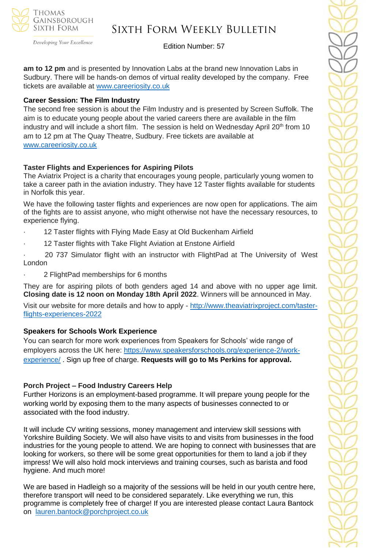

## Sixth Form Weekly Bulletin

Edition Number: 57

**am to 12 pm** and is presented by Innovation Labs at the brand new Innovation Labs in Sudbury. There will be hands-on demos of virtual reality developed by the company. Free tickets are available at [www.careeriosity.co.uk](https://nam12.safelinks.protection.outlook.com/?url=http%3A%2F%2Fwww.careeriosity.co.uk%2F&data=04%7C01%7C%7C11af033e730b41dd16a108da0bfd75ea%7C84df9e7fe9f640afb435aaaaaaaaaaaa%7C1%7C0%7C637835481840204834%7CUnknown%7CTWFpbGZsb3d8eyJWIjoiMC4wLjAwMDAiLCJQIjoiV2luMzIiLCJBTiI6Ik1haWwiLCJXVCI6Mn0%3D%7C3000&sdata=DUHSGp%2BPezxNxHfTiRqM%2FbLZ0Ssgc6UdfYJGw9sIit4%3D&reserved=0)

### **Career Session: The Film Industry**

The second free session is about the Film Industry and is presented by Screen Suffolk. The aim is to educate young people about the varied careers there are available in the film industry and will include a short film. The session is held on Wednesday April 20<sup>th</sup> from 10 am to 12 pm at The Quay Theatre, Sudbury. Free tickets are available at [www.careeriosity.co.uk](https://nam12.safelinks.protection.outlook.com/?url=http%3A%2F%2Fwww.careeriosity.co.uk%2F&data=04%7C01%7C%7C11af033e730b41dd16a108da0bfd75ea%7C84df9e7fe9f640afb435aaaaaaaaaaaa%7C1%7C0%7C637835481840204834%7CUnknown%7CTWFpbGZsb3d8eyJWIjoiMC4wLjAwMDAiLCJQIjoiV2luMzIiLCJBTiI6Ik1haWwiLCJXVCI6Mn0%3D%7C3000&sdata=DUHSGp%2BPezxNxHfTiRqM%2FbLZ0Ssgc6UdfYJGw9sIit4%3D&reserved=0)

### **Taster Flights and Experiences for Aspiring Pilots**

The Aviatrix Project is a charity that encourages young people, particularly young women to take a career path in the aviation industry. They have 12 Taster flights available for students in Norfolk this year.

We have the following taster flights and experiences are now open for applications. The aim of the fights are to assist anyone, who might otherwise not have the necessary resources, to experience flying.

- 12 Taster flights with Flying Made Easy at Old Buckenham Airfield
- 12 Taster flights with Take Flight Aviation at Enstone Airfield
- 20 737 Simulator flight with an instructor with FlightPad at The University of West London
- · 2 FlightPad memberships for 6 months

They are for aspiring pilots of both genders aged 14 and above with no upper age limit. **Closing date is 12 noon on Monday 18th April 2022**. Winners will be announced in May.

Visit our website for more details and how to apply - [http://www.theaviatrixproject.com/taster](http://www.theaviatrixproject.com/taster-flights-experiences-2022)[flights-experiences-2022](http://www.theaviatrixproject.com/taster-flights-experiences-2022)

### **Speakers for Schools Work Experience**

You can search for more work experiences from Speakers for Schools' wide range of employers across the UK here: [https://www.speakersforschools.org/experience-2/work](https://www.speakersforschools.org/experience-2/work-experience/)[experience/](https://www.speakersforschools.org/experience-2/work-experience/) . Sign up free of charge. **Requests will go to Ms Perkins for approval.**

### **Porch Project – Food Industry Careers Help**

Further Horizons is an employment-based programme. It will prepare young people for the working world by exposing them to the many aspects of businesses connected to or associated with the food industry.

It will include CV writing sessions, money management and interview skill sessions with Yorkshire Building Society. We will also have visits to and visits from businesses in the food industries for the young people to attend. We are hoping to connect with businesses that are looking for workers, so there will be some great opportunities for them to land a job if they impress! We will also hold mock interviews and training courses, such as barista and food hygiene. And much more!

We are based in Hadleigh so a majority of the sessions will be held in our youth centre here, therefore transport will need to be considered separately. Like everything we run, this programme is completely free of charge! If you are interested please contact Laura Bantock on [lauren.bantock@porchproject.co.uk](mailto:lauren.bantock@porchproject.co.uk)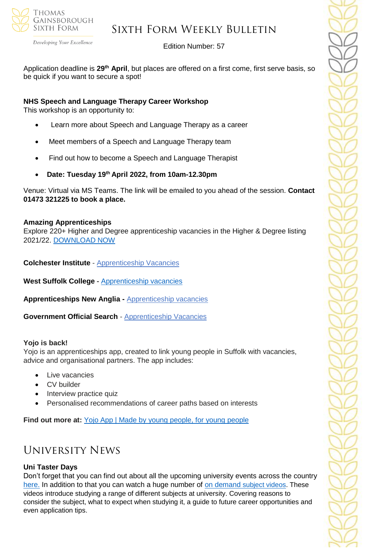

Developing Your Excellence

### Edition Number: 57

Application deadline is **29th April**, but places are offered on a first come, first serve basis, so be quick if you want to secure a spot!

### **NHS Speech and Language Therapy Career Workshop**

This workshop is an opportunity to:

- Learn more about Speech and Language Therapy as a career
- Meet members of a Speech and Language Therapy team
- Find out how to become a Speech and Language Therapist
- **Date: Tuesday 19th April 2022, from 10am-12.30pm**

Venue: Virtual via MS Teams. The link will be emailed to you ahead of the session. **Contact 01473 321225 to book a place.**

### **Amazing Apprenticeships**

Explore 220+ Higher and Degree apprenticeship vacancies in the Higher & Degree listing 2021/22. [DOWNLOAD NOW](https://amazingapprenticeships.com/resource/higher-and-degree-listing/)

**Colchester Institute** - Apprenticeship Vacancies

**West Suffolk College -** [Apprenticeship vacancies](https://www.wsc.ac.uk/find-a-course/apprenticeships)

**Apprenticeships New Anglia -** [Apprenticeship vacancies](https://www.apprenticeshipsnewanglia.co.uk/)

**Government Official Search** - [Apprenticeship Vacancies](https://www.gov.uk/apply-apprenticeship)

### **Yojo is back!**

Yojo is an apprenticeships app, created to link young people in Suffolk with vacancies, advice and organisational partners. The app includes:

- Live vacancies
- CV builder
- Interview practice quiz
- Personalised recommendations of career paths based on interests

**Find out more at:** [Yojo App | Made by young people, for young people](https://emea01.safelinks.protection.outlook.com/?url=https%3A%2F%2Fyojoapp.co.uk%2F&data=04%7C01%7C%7C4c6c44ecc3fb4f20ff7908d9db3b3618%7C84df9e7fe9f640afb435aaaaaaaaaaaa%7C1%7C0%7C637781869767483855%7CUnknown%7CTWFpbGZsb3d8eyJWIjoiMC4wLjAwMDAiLCJQIjoiV2luMzIiLCJBTiI6Ik1haWwiLCJXVCI6Mn0%3D%7C3000&sdata=9WtYUB305aPkl6q46VQFnWxhGcaNixIyQ7zb9qHytQc%3D&reserved=0)

# University News

### **Uni Taster Days**

Don't forget that you can find out about all the upcoming university events across the country [here.](https://www.unitasterdays.com/search.aspx) In addition to that you can watch a huge number of on demand [subject videos.](https://www.unitasterdays.com/ondemand) These videos introduce studying a range of different subjects at university. Covering reasons to consider the subject, what to expect when studying it, a guide to future career opportunities and even application tips.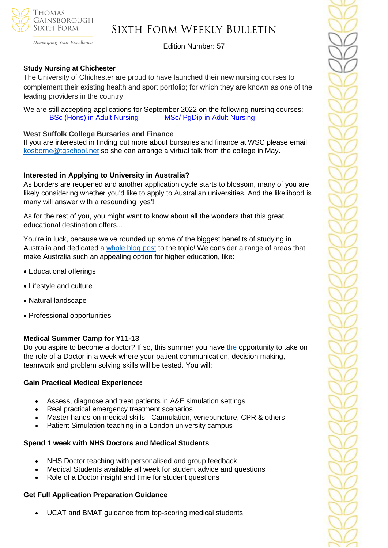

Developing Your Excellence

Edition Number: 57

### **Study Nursing at Chichester**

The University of Chichester are proud to have launched their new nursing courses to complement their existing health and sport portfolio; for which they are known as one of the leading providers in the country.

We are still accepting applications for September 2022 on the following nursing courses: BSc (Hons) in Adult [Nursing](https://successatschool.us3.list-manage.com/track/click?u=2c038531b25876a2c7c9cf8b1&id=f2fbadffff&e=530f418f3c) MSc/ PgDip in Adult Nursing

### **West Suffolk College Bursaries and Finance**

If you are interested in finding out more about bursaries and finance at WSC please email [kosborne@tgschool.net](mailto:kosborne@tgschool.net) so she can arrange a virtual talk from the college in May.

### **Interested in Applying to University in Australia?**

As borders are reopened and another application cycle starts to blossom, many of you are likely considering whether you'd like to apply to Australian universities. And the likelihood is many will answer with a resounding 'yes'!

As for the rest of you, you might want to know about all the wonders that this great educational destination offers...

You're in luck, because we've rounded up some of the biggest benefits of studying in Australia and dedicated a [whole blog post](https://bridge-u.com/blog/6-reasons-why-your-students-want-to-study-in-australia/) to the topic! We consider a range of areas that make Australia such an appealing option for higher education, like:

- Educational offerings
- Lifestyle and culture
- Natural landscape
- Professional opportunities

### **Medical Summer Camp for Y11-13**

Do you aspire to become a doctor? If so, this summer you have [the](https://edu9.sprintsend.co.uk/b2/link.php?M=1213464&N=104&L=347&F=H) opportunity to take on the role of a Doctor in a week where your patient communication, decision making, teamwork and problem solving skills will be tested. You will:

### **Gain Practical Medical Experience:**

- Assess, diagnose and treat patients in A&E simulation settings
- Real practical emergency treatment scenarios
- Master hands-on medical skills Cannulation, venepuncture, CPR & others
- Patient Simulation teaching in a London university campus

### **Spend 1 week with NHS Doctors and Medical Students**

- NHS Doctor teaching with personalised and group feedback
- Medical Students available all week for student advice and questions
- Role of a Doctor insight and time for student questions

### **Get Full Application Preparation Guidance**

• UCAT and BMAT guidance from top-scoring medical students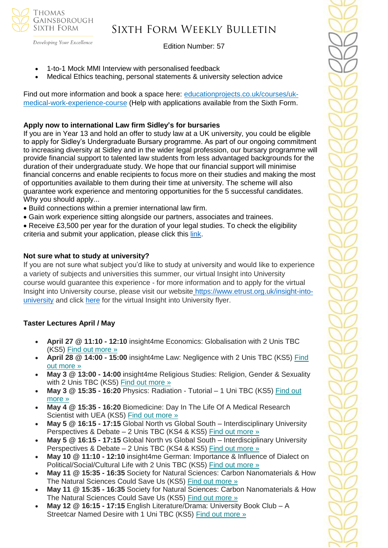

Developing Your Excellence

### Edition Number: 57

- 1-to-1 Mock MMI Interview with personalised feedback
- Medical Ethics teaching, personal statements & university selection advice

Find out more information and book a space here: [educationprojects.co.uk/courses/uk](https://edu9.sprintsend.co.uk/b2/link.php?M=1213464&N=104&L=346&F=H)[medical-work-experience-course](https://edu9.sprintsend.co.uk/b2/link.php?M=1213464&N=104&L=346&F=H) (Help with applications available from the Sixth Form.

### **Apply now to international Law firm Sidley's for bursaries**

If you are in Year 13 and hold an offer to study law at a UK university, you could be eligible to apply for Sidley's Undergraduate Bursary programme. As part of our ongoing commitment to increasing diversity at Sidley and in the wider legal profession, our bursary programme will provide financial support to talented law students from less advantaged backgrounds for the duration of their undergraduate study. We hope that our financial support will minimise financial concerns and enable recipients to focus more on their studies and making the most of opportunities available to them during their time at university. The scheme will also guarantee work experience and mentoring opportunities for the 5 successful candidates. Why you should apply...

- Build connections within a premier international law firm.
- Gain work experience sitting alongside our partners, associates and trainees.
- Receive £3,500 per year for the duration of your legal studies. To check the eligibility criteria and submit your application, please click this [link.](https://www.sidleycareers.com/en/europe/london-opportunities?tab=london-undergraduate-bursary-programme&goal=0_65c6d67e71-ee29717514-212136547&mc_cid=ee29717514&mc_eid=530f418f3c)

## **Not sure what to study at university?**

If you are not sure what subject you'd like to study at university and would like to experience a variety of subjects and universities this summer, our virtual Insight into University course would guarantee this experience - for more information and to apply for the virtual Insight into University course, please visit our website [https://www.etrust.org.uk/insight-into](https://www.etrust.org.uk/insight-into-university)[university](https://www.etrust.org.uk/insight-into-university) and click [here](https://dd233f6a-c442-4437-a8e1-9e42987b6020.filesusr.com/ugd/4517c8_fcb7add322ae4a1eab2156347e1f2442.pdf) for the virtual Insight into University flyer.

## **Taster Lectures April / May**

- **April 27 @ 11:10 - 12:10** insight4me Economics: Globalisation with 2 Unis TBC (KS5) Find out [more](https://channeltalent.us10.list-manage.com/track/click?u=145837fa6843e0c349598322a&id=e6ca5db621&e=155232616c) »
- **April 28 @ 14:00 - 15:00** insight4me Law: Negligence with 2 Unis TBC (KS5) [Find](https://channeltalent.us10.list-manage.com/track/click?u=145837fa6843e0c349598322a&id=dbe7344ff8&e=155232616c) out [more](https://channeltalent.us10.list-manage.com/track/click?u=145837fa6843e0c349598322a&id=dbe7344ff8&e=155232616c) »
- **May 3 @ 13:00 - 14:00** insight4me Religious Studies: Religion, Gender & Sexuality with 2 Unis TBC (KS5) Find out [more](https://channeltalent.us10.list-manage.com/track/click?u=145837fa6843e0c349598322a&id=e36cdfc670&e=155232616c) »
- **May 3 @ 15:35 - 16:20** Physics: Radiation Tutorial 1 Uni TBC (KS5) [Find](https://channeltalent.us10.list-manage.com/track/click?u=145837fa6843e0c349598322a&id=0ef7667675&e=155232616c) out [more](https://channeltalent.us10.list-manage.com/track/click?u=145837fa6843e0c349598322a&id=0ef7667675&e=155232616c) »
- **May 4 @ 15:35 - 16:20** Biomedicine: Day In The Life Of A Medical Research Scientist with UEA (KS5) Find out [more](https://channeltalent.us10.list-manage.com/track/click?u=145837fa6843e0c349598322a&id=98cf5ea4fa&e=155232616c) »
- **May 5 @ 16:15 - 17:15** Global North vs Global South Interdisciplinary University Perspectives & Debate – 2 Unis TBC (KS4 & KS5) Find out [more](https://channeltalent.us10.list-manage.com/track/click?u=145837fa6843e0c349598322a&id=49a55764f0&e=155232616c) »
- **May 5 @ 16:15 - 17:15** Global North vs Global South Interdisciplinary University Perspectives & Debate – 2 Unis TBC (KS4 & KS5) Find out [more](https://channeltalent.us10.list-manage.com/track/click?u=145837fa6843e0c349598322a&id=ba559e48c8&e=155232616c) »
- **May 10 @ 11:10 - 12:10** insight4me German: Importance & Influence of Dialect on Political/Social/Cultural Life with 2 Unis TBC (KS5) Find out [more](https://channeltalent.us10.list-manage.com/track/click?u=145837fa6843e0c349598322a&id=61a0b7a9ff&e=155232616c) »
- **May 11 @ 15:35 - 16:35** Society for Natural Sciences: Carbon Nanomaterials & How The Natural Sciences Could Save Us (KS5) Find out [more](https://channeltalent.us10.list-manage.com/track/click?u=145837fa6843e0c349598322a&id=174c27095e&e=155232616c) »
- **May 11 @ 15:35 - 16:35** Society for Natural Sciences: Carbon Nanomaterials & How The Natural Sciences Could Save Us (KS5) Find out [more](https://channeltalent.us10.list-manage.com/track/click?u=145837fa6843e0c349598322a&id=4a71a47bd5&e=155232616c) »
- **May 12 @ 16:15 - 17:15** English Literature/Drama: University Book Club A Streetcar Named Desire with 1 Uni TBC (KS5) Find out [more](https://channeltalent.us10.list-manage.com/track/click?u=145837fa6843e0c349598322a&id=070d73006b&e=155232616c) »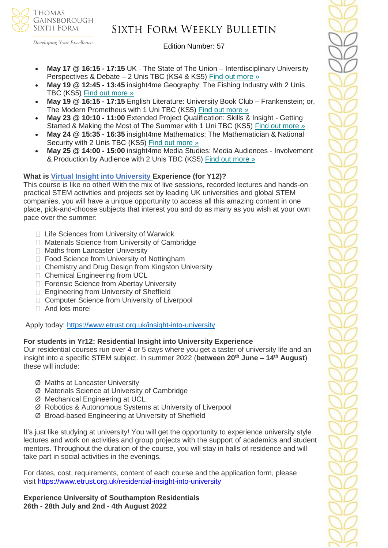

Developing Your Excellence

### Edition Number: 57

- **May 17 @ 16:15 - 17:15** UK The State of The Union Interdisciplinary University Perspectives & Debate – 2 Unis TBC (KS4 & KS5) Find out [more](https://channeltalent.us10.list-manage.com/track/click?u=145837fa6843e0c349598322a&id=90392dc928&e=155232616c) »
- **May 19 @ 12:45 - 13:45** insight4me Geography: The Fishing Industry with 2 Unis TBC (KS5) Find out [more](https://channeltalent.us10.list-manage.com/track/click?u=145837fa6843e0c349598322a&id=4666325908&e=155232616c) »
- **May 19 @ 16:15 - 17:15** English Literature: University Book Club Frankenstein; or, The Modern Prometheus with 1 Uni TBC (KS5) Find out [more](https://channeltalent.us10.list-manage.com/track/click?u=145837fa6843e0c349598322a&id=62400f7076&e=155232616c) »
- **May 23 @ 10:10 - 11:00** Extended Project Qualification: Skills & Insight Getting Started & Making the Most of The Summer with 1 Uni TBC (KS5) Find out [more](https://channeltalent.us10.list-manage.com/track/click?u=145837fa6843e0c349598322a&id=02acee6a35&e=155232616c) »
- **May 24 @ 15:35 - 16:35** insight4me Mathematics: The Mathematician & National Security with 2 Unis TBC (KS5) Find out [more](https://channeltalent.us10.list-manage.com/track/click?u=145837fa6843e0c349598322a&id=016a35f4ce&e=155232616c) »
- **May 25 @ 14:00 - 15:00** insight4me Media Studies: Media Audiences Involvement & Production by Audience with 2 Unis TBC (KS5) Find out [more](https://channeltalent.us10.list-manage.com/track/click?u=145837fa6843e0c349598322a&id=d921727e6b&e=155232616c) »

### **What is Virtual Insight into [University](https://www.etrust.org.uk/insight-into-university) Experience (for Y12)?**

This course is like no other! With the mix of live sessions, recorded lectures and hands-on practical STEM activities and projects set by leading UK universities and global STEM companies, you will have a unique opportunity to access all this amazing content in one place, pick-and-choose subjects that interest you and do as many as you wish at your own pace over the summer:

- □ Life Sciences from University of Warwick
- □ Materials Science from University of Cambridge
- □ Maths from Lancaster University
- □ Food Science from University of Nottingham
- □ Chemistry and Drug Design from Kingston University
- □ Chemical Engineering from UCL
- **Forensic Science from Abertay University**
- □ Engineering from University of Sheffield
- □ Computer Science from University of Liverpool
- □ And lots more!

Apply today: <https://www.etrust.org.uk/insight-into-university>

### **For students in Yr12: Residential Insight into University Experience**

Our residential courses run over 4 or 5 days where you get a taster of university life and an insight into a specific STEM subject. In summer 2022 (**between 20th June – 14th August**) these will include:

- Ø Maths at Lancaster University
- Ø Materials Science at University of Cambridge
- Ø Mechanical Engineering at UCL
- Ø Robotics & Autonomous Systems at University of Liverpool
- Ø Broad-based Engineering at University of Sheffield

It's just like studying at university! You will get the opportunity to experience university style lectures and work on activities and group projects with the support of academics and student mentors. Throughout the duration of the course, you will stay in halls of residence and will take part in social activities in the evenings.

For dates, cost, requirements, content of each course and the application form, please visit <https://www.etrust.org.uk/residential-insight-into-university>

**Experience University of Southampton Residentials 26th - 28th July and 2nd - 4th August 2022**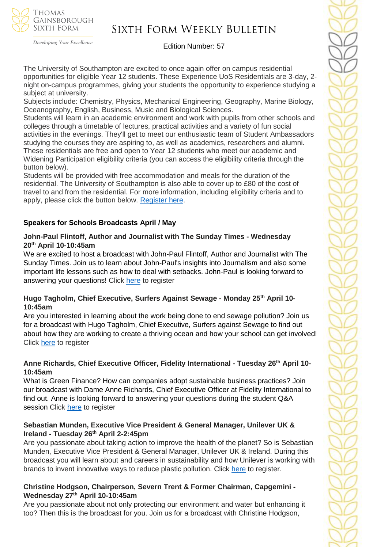

Developing Your Excellence

### Edition Number: 57

The University of Southampton are excited to once again offer on campus residential opportunities for eligible Year 12 students. These Experience UoS Residentials are 3-day, 2 night on-campus programmes, giving your students the opportunity to experience studying a subject at university.

Subjects include: Chemistry, Physics, Mechanical Engineering, Geography, Marine Biology, Oceanography, English, Business, Music and Biological Sciences.

Students will learn in an academic environment and work with pupils from other schools and colleges through a timetable of lectures, practical activities and a variety of fun social activities in the evenings. They'll get to meet our enthusiastic team of Student Ambassadors studying the courses they are aspiring to, as well as academics, researchers and alumni. These residentials are free and open to Year 12 students who meet our academic and Widening Participation eligibility criteria (you can access the eligibility criteria through the button below).

Students will be provided with free accommodation and meals for the duration of the residential. The University of Southampton is also able to cover up to £80 of the cost of travel to and from the residential. For more information, including eligibility criteria and to apply, please click the button below. [Register here.](https://www.southampton.ac.uk/schools-colleges/experience-summer-event.page+)

### **Speakers for Schools Broadcasts April / May**

### **John-Paul Flintoff, Author and Journalist with The Sunday Times - Wednesday 20th April 10-10:45am**

We are excited to host a broadcast with John-Paul Flintoff, Author and Journalist with The Sunday Times. Join us to learn about John-Paul's insights into Journalism and also some important life lessons such as how to deal with setbacks. John-Paul is looking forward to answering your questions! Click [here](https://forms.office.com/r/iY9CefkggF) to register

### **Hugo Tagholm, Chief Executive, Surfers Against Sewage - Monday 25th April 10- 10:45am**

Are you interested in learning about the work being done to end sewage pollution? Join us for a broadcast with Hugo Tagholm, Chief Executive, Surfers against Sewage to find out about how they are working to create a thriving ocean and how your school can get involved! Click [here](https://forms.office.com/r/5imUKR5U4C) to register

### **Anne Richards, Chief Executive Officer, Fidelity International - Tuesday 26th April 10- 10:45am**

What is Green Finance? How can companies adopt sustainable business practices? Join our broadcast with Dame Anne Richards, Chief Executive Officer at Fidelity International to find out. Anne is looking forward to answering your questions during the student Q&A session Click [here](https://forms.office.com/r/MQcK2ezfUa) to register

### **Sebastian Munden, Executive Vice President & General Manager, Unilever UK & Ireland - Tuesday 26th April 2-2:45pm**

Are you passionate about taking action to improve the health of the planet? So is Sebastian Munden, Executive Vice President & General Manager, Unilever UK & Ireland. During this broadcast you will learn about and careers in sustainability and how Unilever is working with brands to invent innovative ways to reduce plastic pollution. Click [here](https://forms.office.com/r/vRuGnAA6W6) to register.

## **Christine Hodgson, Chairperson, Severn Trent & Former Chairman, Capgemini - Wednesday 27th April 10-10:45am**

Are you passionate about not only protecting our environment and water but enhancing it too? Then this is the broadcast for you. Join us for a broadcast with Christine Hodgson,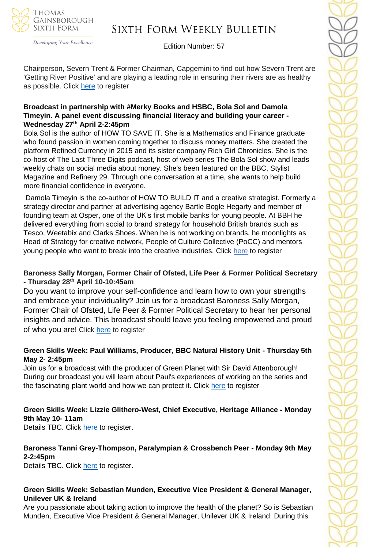

## Sixth Form Weekly Bulletin

Edition Number: 57

Chairperson, Severn Trent & Former Chairman, Capgemini to find out how Severn Trent are 'Getting River Positive' and are playing a leading role in ensuring their rivers are as healthy as possible. Click [here](https://forms.office.com/r/WqL6xHp6NG) to register

## **Broadcast in partnership with #Merky Books and HSBC, Bola Sol and Damola Timeyin. A panel event discussing financial literacy and building your career - Wednesday 27th April 2-2:45pm**

Bola Sol is the author of HOW TO SAVE IT. She is a Mathematics and Finance graduate who found passion in women coming together to discuss money matters. She created the platform Refined Currency in 2015 and its sister company Rich Girl Chronicles. She is the co-host of The Last Three Digits podcast, host of web series The Bola Sol show and leads weekly chats on social media about money. She's been featured on the BBC, Stylist Magazine and Refinery 29. Through one conversation at a time, she wants to help build more financial confidence in everyone.

Damola Timeyin is the co-author of HOW TO BUILD IT and a creative strategist. Formerly a strategy director and partner at advertising agency Bartle Bogle Hegarty and member of founding team at Osper, one of the UK's first mobile banks for young people. At BBH he delivered everything from social to brand strategy for household British brands such as Tesco, Weetabix and Clarks Shoes. When he is not working on brands, he moonlights as Head of Strategy for creative network, People of Culture Collective (PoCC) and mentors young people who want to break into the creative industries. Click [here](https://forms.office.com/pages/responsepage.aspx?id=HFqhLo7yMEahv9dFTLRO65fTtVvpxU5Juw5B-0Ohp8RURTRTR01XUkJVSzlJQVk5MzNMSFFSMVVWRy4u&web=1&wdLOR=c9BE881E4-F8B8-45DF-8F7B-DF8D6D2A649F) to register

## **Baroness Sally Morgan, Former Chair of Ofsted, Life Peer & Former Political Secretary - Thursday 28th April 10-10:45am**

Do you want to improve your self-confidence and learn how to own your strengths and embrace your individuality? Join us for a broadcast Baroness Sally Morgan, Former Chair of Ofsted, Life Peer & Former Political Secretary to hear her personal insights and advice. This broadcast should leave you feeling empowered and proud of who you are! Click [here](https://forms.office.com/r/nQeSkMQpWG) to register

## **Green Skills Week: Paul Williams, Producer, BBC Natural History Unit - Thursday 5th May 2- 2:45pm**

Join us for a broadcast with the producer of Green Planet with Sir David Attenborough! During our broadcast you will learn about Paul's experiences of working on the series and the fascinating plant world and how we can protect it. Click [here](https://forms.office.com/pages/responsepage.aspx?id=HFqhLo7yMEahv9dFTLRO65fTtVvpxU5Juw5B-0Ohp8RUMTUyQkFTSTRJSEI0QlNLRTNaNEJCQVI1Mi4u) to register

**Green Skills Week: Lizzie Glithero-West, Chief Executive, Heritage Alliance - Monday 9th May 10- 11am**

Details TBC. Click [here](https://forms.office.com/pages/responsepage.aspx?id=HFqhLo7yMEahv9dFTLRO65fTtVvpxU5Juw5B-0Ohp8RUN0dSREkwREFOVExSRVFHSzYyMFI2UzQ1Si4u) to register.

## **Baroness Tanni Grey-Thompson, Paralympian & Crossbench Peer - Monday 9th May 2-2:45pm**

Details TBC. Click [here](https://forms.office.com/pages/responsepage.aspx?id=HFqhLo7yMEahv9dFTLRO65fTtVvpxU5Juw5B-0Ohp8RUMk01U1lOQkRKQTRUNFNKSjNMNlpIWVZZRS4u) to register.

## **Green Skills Week: Sebastian Munden, Executive Vice President & General Manager, Unilever UK & Ireland**

Are you passionate about taking action to improve the health of the planet? So is Sebastian Munden, Executive Vice President & General Manager, Unilever UK & Ireland. During this